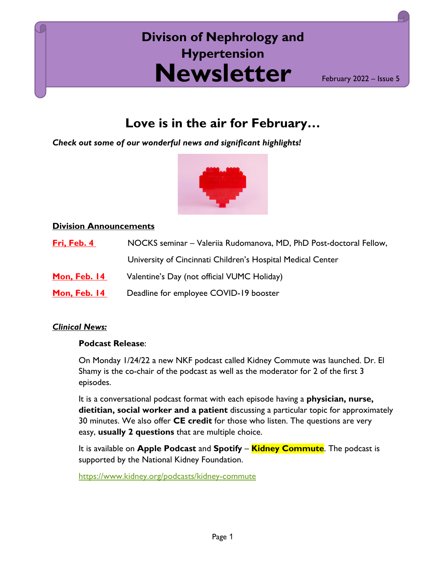# **Newsletter Divison of Nephrology and Hypertension**

February 2022 – Issue 5

# **Love is in the air for February…**

*Check out some of our wonderful news and significant highlights!*



## **Division Announcements**

| Fri, Feb. 4         | NOCKS seminar – Valeriia Rudomanova, MD, PhD Post-doctoral Fellow, |
|---------------------|--------------------------------------------------------------------|
|                     | University of Cincinnati Children's Hospital Medical Center        |
| <b>Mon, Feb. 14</b> | Valentine's Day (not official VUMC Holiday)                        |
| <b>Mon, Feb. 14</b> | Deadline for employee COVID-19 booster                             |

#### *Clinical News:*

# **Podcast Release**:

On Monday 1/24/22 a new NKF podcast called Kidney Commute was launched. Dr. El Shamy is the co-chair of the podcast as well as the moderator for 2 of the first 3 episodes.

It is a conversational podcast format with each episode having a **physician, nurse, dietitian, social worker and a patient** discussing a particular topic for approximately 30 minutes. We also offer **CE credit** for those who listen. The questions are very easy, **usually 2 questions** that are multiple choice.

It is available on **Apple Podcast** and **Spotify** – **Kidney Commute**. The podcast is supported by the National Kidney Foundation.

<https://www.kidney.org/podcasts/kidney-commute>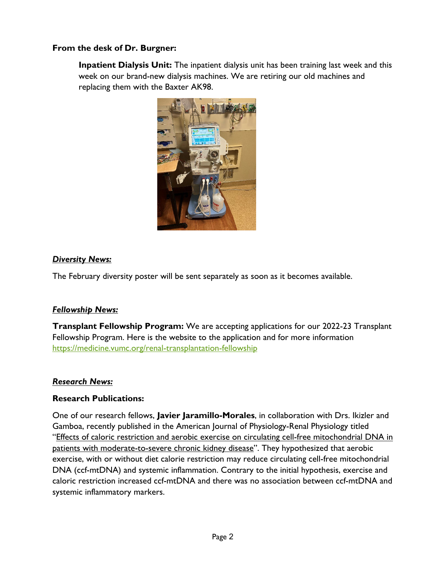## **From the desk of Dr. Burgner:**

**Inpatient Dialysis Unit:** The inpatient dialysis unit has been training last week and this week on our brand-new dialysis machines. We are retiring our old machines and replacing them with the Baxter AK98.



#### *Diversity News:*

The February diversity poster will be sent separately as soon as it becomes available.

#### *Fellowship News:*

**Transplant Fellowship Program:** We are accepting applications for our 2022-23 Transplant Fellowship Program. Here is the website to the application and for more information <https://medicine.vumc.org/renal-transplantation-fellowship>

#### *Research News:*

#### **Research Publications:**

One of our research fellows, **Javier Jaramillo-Morales**, in collaboration with Drs. Ikizler and Gamboa, recently published in the American Journal of Physiology-Renal Physiology titled ["Effects of caloric restriction and aerobic exercise on circulating cell-free mitochondrial DNA in](https://nam12.safelinks.protection.outlook.com/?url=https%3A%2F%2Fscholar.google.com%2Fcitations%3Fview_op%3Dview_citation%26hl%3Den%26user%3DrByRiWMAAAAJ%26citation_for_view%3DrByRiWMAAAAJ%3AqjMakFHDy7sC&data=04%7C01%7Csavannah.sumatra%40vumc.org%7C0ae3c56b32e442bcf88e08d9e4ddb6f4%7Cef57503014244ed8b83c12c533d879ab%7C0%7C0%7C637792463170820599%7CUnknown%7CTWFpbGZsb3d8eyJWIjoiMC4wLjAwMDAiLCJQIjoiV2luMzIiLCJBTiI6Ik1haWwiLCJXVCI6Mn0%3D%7C3000&sdata=0EqtBtmhswJSVASw8dbqtIiN%2BF57WBXLksPxMCnsFXI%3D&reserved=0)  [patients with moderate-to-severe chronic kidney disease"](https://nam12.safelinks.protection.outlook.com/?url=https%3A%2F%2Fscholar.google.com%2Fcitations%3Fview_op%3Dview_citation%26hl%3Den%26user%3DrByRiWMAAAAJ%26citation_for_view%3DrByRiWMAAAAJ%3AqjMakFHDy7sC&data=04%7C01%7Csavannah.sumatra%40vumc.org%7C0ae3c56b32e442bcf88e08d9e4ddb6f4%7Cef57503014244ed8b83c12c533d879ab%7C0%7C0%7C637792463170820599%7CUnknown%7CTWFpbGZsb3d8eyJWIjoiMC4wLjAwMDAiLCJQIjoiV2luMzIiLCJBTiI6Ik1haWwiLCJXVCI6Mn0%3D%7C3000&sdata=0EqtBtmhswJSVASw8dbqtIiN%2BF57WBXLksPxMCnsFXI%3D&reserved=0). They hypothesized that aerobic exercise, with or without diet calorie restriction may reduce circulating cell-free mitochondrial DNA (ccf-mtDNA) and systemic inflammation. Contrary to the initial hypothesis, exercise and caloric restriction increased ccf-mtDNA and there was no association between ccf-mtDNA and systemic inflammatory markers.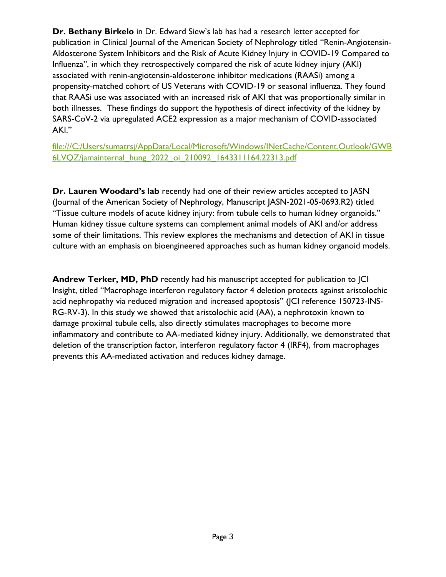**Dr. Bethany Birkelo** in Dr. Edward Siew's lab has had a research letter accepted for publication in Clinical Journal of the American Society of Nephrology titled "Renin-Angiotensin-Aldosterone System Inhibitors and the Risk of Acute Kidney Injury in COVID-19 Compared to Influenza", in which they retrospectively compared the risk of acute kidney injury (AKI) associated with renin-angiotensin-aldosterone inhibitor medications (RAASi) among a propensity-matched cohort of US Veterans with COVID-19 or seasonal influenza. They found that RAASi use was associated with an increased risk of AKI that was proportionally similar in both illnesses. These findings do support the hypothesis of direct infectivity of the kidney by SARS-CoV-2 via upregulated ACE2 expression as a major mechanism of COVID-associated AKI."

file:///C:/Users/sumatrsj/AppData/Local/Microsoft/Windows/INetCache/Content.Outlook/GWB 6LVQZ/jamainternal\_hung\_2022\_oi\_210092\_1643311164.22313.pdf

**Dr. Lauren Woodard's lab** recently had one of their review articles accepted to JASN (Journal of the American Society of Nephrology, Manuscript JASN-2021-05-0693.R2) titled "Tissue culture models of acute kidney injury: from tubule cells to human kidney organoids." Human kidney tissue culture systems can complement animal models of AKI and/or address some of their limitations. This review explores the mechanisms and detection of AKI in tissue culture with an emphasis on bioengineered approaches such as human kidney organoid models.

**Andrew Terker, MD, PhD** recently had his manuscript accepted for publication to JCI Insight, titled "Macrophage interferon regulatory factor 4 deletion protects against aristolochic acid nephropathy via reduced migration and increased apoptosis" (JCI reference 150723-INS-RG-RV-3). In this study we showed that aristolochic acid (AA), a nephrotoxin known to damage proximal tubule cells, also directly stimulates macrophages to become more inflammatory and contribute to AA-mediated kidney injury. Additionally, we demonstrated that deletion of the transcription factor, interferon regulatory factor 4 (IRF4), from macrophages prevents this AA-mediated activation and reduces kidney damage.